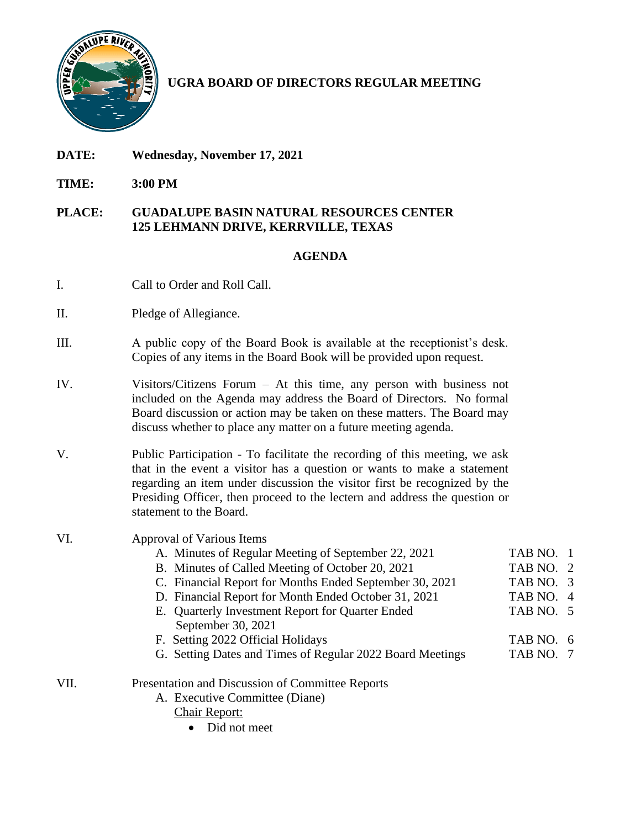

# **UGRA BOARD OF DIRECTORS REGULAR MEETING**

- **DATE: Wednesday, November 17, 2021**
- **TIME: 3:00 PM**

## **PLACE: GUADALUPE BASIN NATURAL RESOURCES CENTER 125 LEHMANN DRIVE, KERRVILLE, TEXAS**

# **AGENDA**

- I. Call to Order and Roll Call.
- II. Pledge of Allegiance.
- III. A public copy of the Board Book is available at the receptionist's desk. Copies of any items in the Board Book will be provided upon request.
- IV. Visitors/Citizens Forum At this time, any person with business not included on the Agenda may address the Board of Directors. No formal Board discussion or action may be taken on these matters. The Board may discuss whether to place any matter on a future meeting agenda.
- V. Public Participation To facilitate the recording of this meeting, we ask that in the event a visitor has a question or wants to make a statement regarding an item under discussion the visitor first be recognized by the Presiding Officer, then proceed to the lectern and address the question or statement to the Board.

## VI. Approval of Various Items

- A. Minutes of Regular Meeting of September 22, 2021 TAB NO. 1 B. Minutes of Called Meeting of October 20, 2021 TAB NO. 2
	- C. Financial Report for Months Ended September 30, 2021 TAB NO. 3
	- D. Financial Report for Month Ended October 31, 2021 TAB NO. 4
	- E. Quarterly Investment Report for Quarter Ended TAB NO. 5 September 30, 2021
- F. Setting 2022 Official Holidays TAB NO. 6
- G. Setting Dates and Times of Regular 2022 Board Meetings TAB NO. 7
- VII. Presentation and Discussion of Committee Reports
	- A. Executive Committee (Diane)

Chair Report:

• Did not meet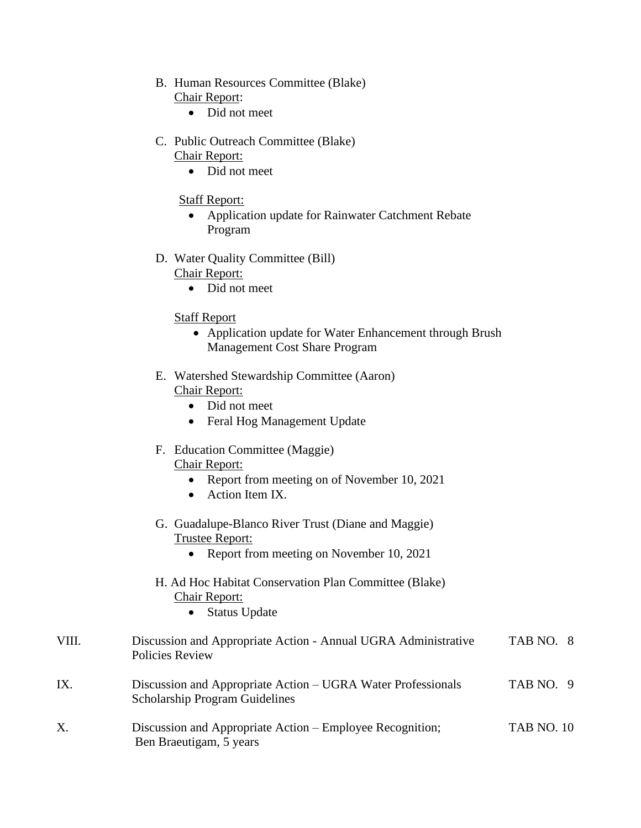- B. Human Resources Committee (Blake) Chair Report:
	- Did not meet
- C. Public Outreach Committee (Blake) Chair Report:
	- Did not meet

### Staff Report:

- Application update for Rainwater Catchment Rebate Program
- D. Water Quality Committee (Bill)

Chair Report:

• Did not meet

#### Staff Report

- Application update for Water Enhancement through Brush Management Cost Share Program
- E. Watershed Stewardship Committee (Aaron) Chair Report:
	- Did not meet
	- Feral Hog Management Update

#### F. Education Committee (Maggie) Chair Report:

- Report from meeting on of November 10, 2021
- Action Item IX.
- G. Guadalupe-Blanco River Trust (Diane and Maggie) Trustee Report:
	- Report from meeting on November 10, 2021

## H. Ad Hoc Habitat Conservation Plan Committee (Blake) Chair Report:

• Status Update

| VIII. | Discussion and Appropriate Action - Annual UGRA Administrative<br>Policies Review                     | TAB NO. 8         |
|-------|-------------------------------------------------------------------------------------------------------|-------------------|
| IX.   | Discussion and Appropriate Action – UGRA Water Professionals<br><b>Scholarship Program Guidelines</b> | TAB NO. 9         |
| X.    | Discussion and Appropriate Action – Employee Recognition;<br>Ben Braeutigam, 5 years                  | <b>TAB NO. 10</b> |